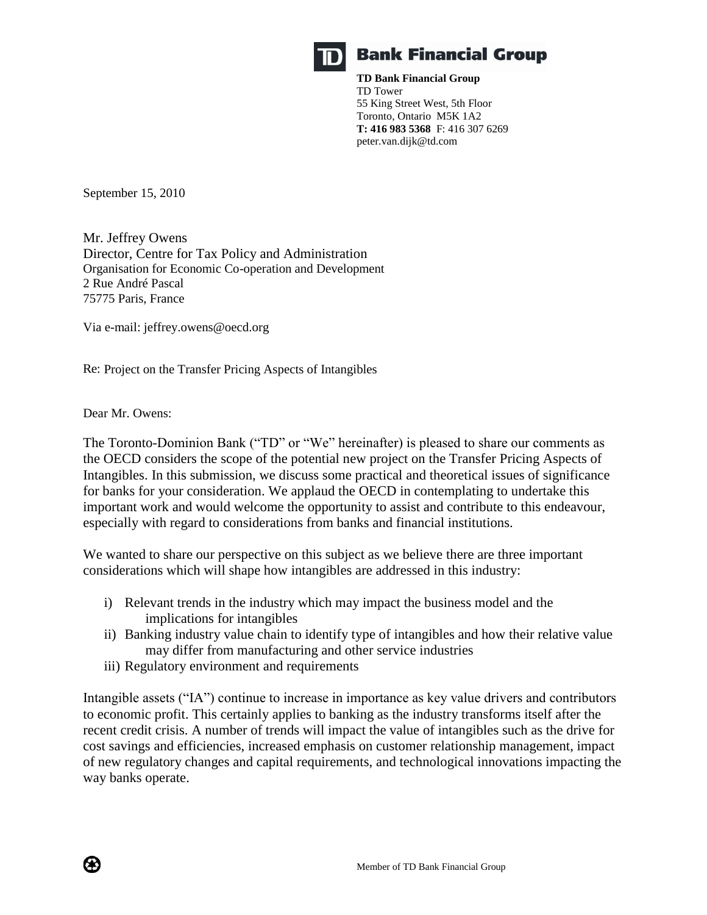

# **Bank Financial Group**

**TD Bank Financial Group** TD Tower 55 King Street West, 5th Floor Toronto, Ontario M5K 1A2 **T: 416 983 5368** F: 416 307 6269 peter.van.dijk@td.com

September 15, 2010

Mr. Jeffrey Owens Director, Centre for Tax Policy and Administration Organisation for Economic Co-operation and Development 2 Rue André Pascal 75775 Paris, France

Via e-mail: jeffrey.owens@oecd.org

Re: Project on the Transfer Pricing Aspects of Intangibles

Dear Mr. Owens:

The Toronto-Dominion Bank ("TD" or "We" hereinafter) is pleased to share our comments as the OECD considers the scope of the potential new project on the Transfer Pricing Aspects of Intangibles. In this submission, we discuss some practical and theoretical issues of significance for banks for your consideration. We applaud the OECD in contemplating to undertake this important work and would welcome the opportunity to assist and contribute to this endeavour, especially with regard to considerations from banks and financial institutions.

We wanted to share our perspective on this subject as we believe there are three important considerations which will shape how intangibles are addressed in this industry:

- i) Relevant trends in the industry which may impact the business model and the implications for intangibles
- ii) Banking industry value chain to identify type of intangibles and how their relative value may differ from manufacturing and other service industries
- iii) Regulatory environment and requirements

Intangible assets ("IA") continue to increase in importance as key value drivers and contributors to economic profit. This certainly applies to banking as the industry transforms itself after the recent credit crisis. A number of trends will impact the value of intangibles such as the drive for cost savings and efficiencies, increased emphasis on customer relationship management, impact of new regulatory changes and capital requirements, and technological innovations impacting the way banks operate.

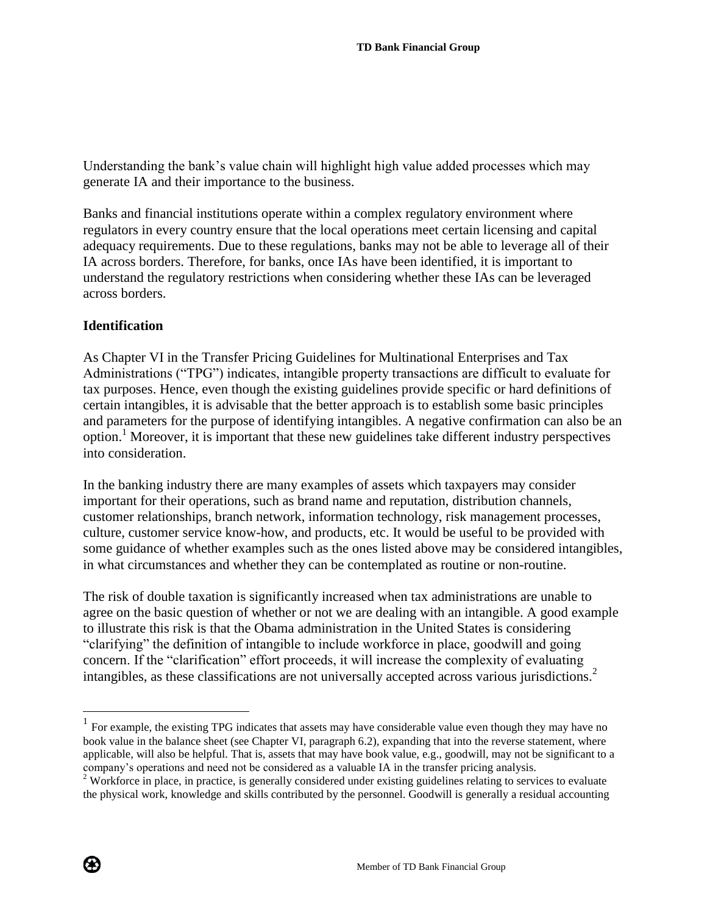Understanding the bank"s value chain will highlight high value added processes which may generate IA and their importance to the business.

Banks and financial institutions operate within a complex regulatory environment where regulators in every country ensure that the local operations meet certain licensing and capital adequacy requirements. Due to these regulations, banks may not be able to leverage all of their IA across borders. Therefore, for banks, once IAs have been identified, it is important to understand the regulatory restrictions when considering whether these IAs can be leveraged across borders.

## **Identification**

As Chapter VI in the Transfer Pricing Guidelines for Multinational Enterprises and Tax Administrations ("TPG") indicates, intangible property transactions are difficult to evaluate for tax purposes. Hence, even though the existing guidelines provide specific or hard definitions of certain intangibles, it is advisable that the better approach is to establish some basic principles and parameters for the purpose of identifying intangibles. A negative confirmation can also be an option.<sup>1</sup> Moreover, it is important that these new guidelines take different industry perspectives into consideration.

In the banking industry there are many examples of assets which taxpayers may consider important for their operations, such as brand name and reputation, distribution channels, customer relationships, branch network, information technology, risk management processes, culture, customer service know-how, and products, etc. It would be useful to be provided with some guidance of whether examples such as the ones listed above may be considered intangibles, in what circumstances and whether they can be contemplated as routine or non-routine.

The risk of double taxation is significantly increased when tax administrations are unable to agree on the basic question of whether or not we are dealing with an intangible. A good example to illustrate this risk is that the Obama administration in the United States is considering "clarifying" the definition of intangible to include workforce in place, goodwill and going concern. If the "clarification" effort proceeds, it will increase the complexity of evaluating intangibles, as these classifications are not universally accepted across various jurisdictions.<sup>2</sup>



<sup>&</sup>lt;sup>1</sup> For example, the existing TPG indicates that assets may have considerable value even though they may have no book value in the balance sheet (see Chapter VI, paragraph 6.2), expanding that into the reverse statement, where applicable, will also be helpful. That is, assets that may have book value, e.g., goodwill, may not be significant to a company"s operations and need not be considered as a valuable IA in the transfer pricing analysis.

<sup>&</sup>lt;sup>2</sup> Workforce in place, in practice, is generally considered under existing guidelines relating to services to evaluate the physical work, knowledge and skills contributed by the personnel. Goodwill is generally a residual accounting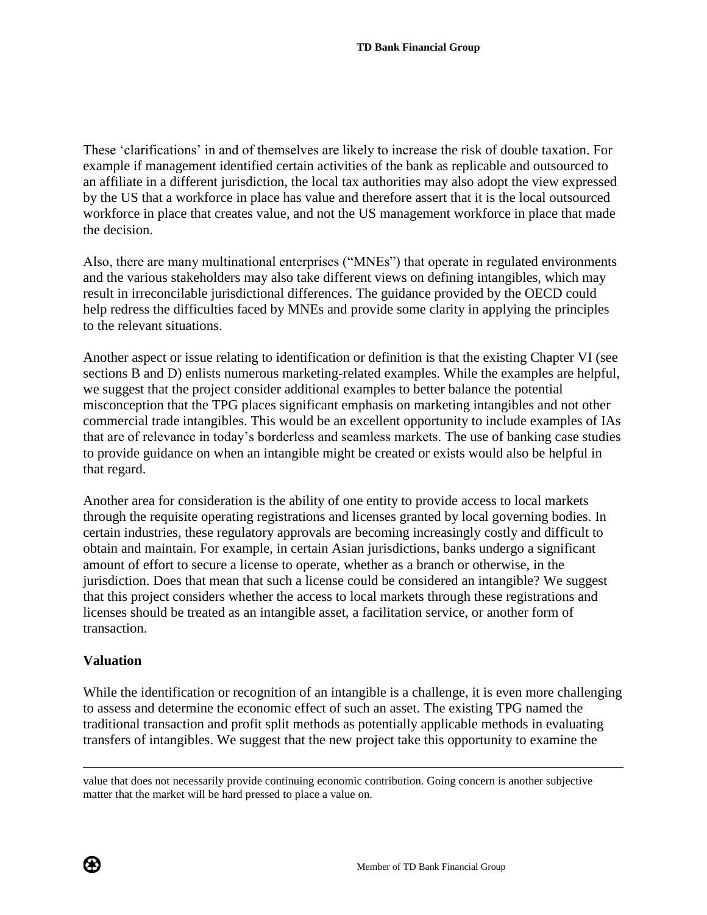These "clarifications" in and of themselves are likely to increase the risk of double taxation. For example if management identified certain activities of the bank as replicable and outsourced to an affiliate in a different jurisdiction, the local tax authorities may also adopt the view expressed by the US that a workforce in place has value and therefore assert that it is the local outsourced workforce in place that creates value, and not the US management workforce in place that made the decision.

Also, there are many multinational enterprises ("MNEs") that operate in regulated environments and the various stakeholders may also take different views on defining intangibles, which may result in irreconcilable jurisdictional differences. The guidance provided by the OECD could help redress the difficulties faced by MNEs and provide some clarity in applying the principles to the relevant situations.

Another aspect or issue relating to identification or definition is that the existing Chapter VI (see sections B and D) enlists numerous marketing-related examples. While the examples are helpful, we suggest that the project consider additional examples to better balance the potential misconception that the TPG places significant emphasis on marketing intangibles and not other commercial trade intangibles. This would be an excellent opportunity to include examples of IAs that are of relevance in today"s borderless and seamless markets. The use of banking case studies to provide guidance on when an intangible might be created or exists would also be helpful in that regard.

Another area for consideration is the ability of one entity to provide access to local markets through the requisite operating registrations and licenses granted by local governing bodies. In certain industries, these regulatory approvals are becoming increasingly costly and difficult to obtain and maintain. For example, in certain Asian jurisdictions, banks undergo a significant amount of effort to secure a license to operate, whether as a branch or otherwise, in the jurisdiction. Does that mean that such a license could be considered an intangible? We suggest that this project considers whether the access to local markets through these registrations and licenses should be treated as an intangible asset, a facilitation service, or another form of transaction.

## **Valuation**

While the identification or recognition of an intangible is a challenge, it is even more challenging to assess and determine the economic effect of such an asset. The existing TPG named the traditional transaction and profit split methods as potentially applicable methods in evaluating transfers of intangibles. We suggest that the new project take this opportunity to examine the





 $\overline{a}$ 

value that does not necessarily provide continuing economic contribution. Going concern is another subjective matter that the market will be hard pressed to place a value on.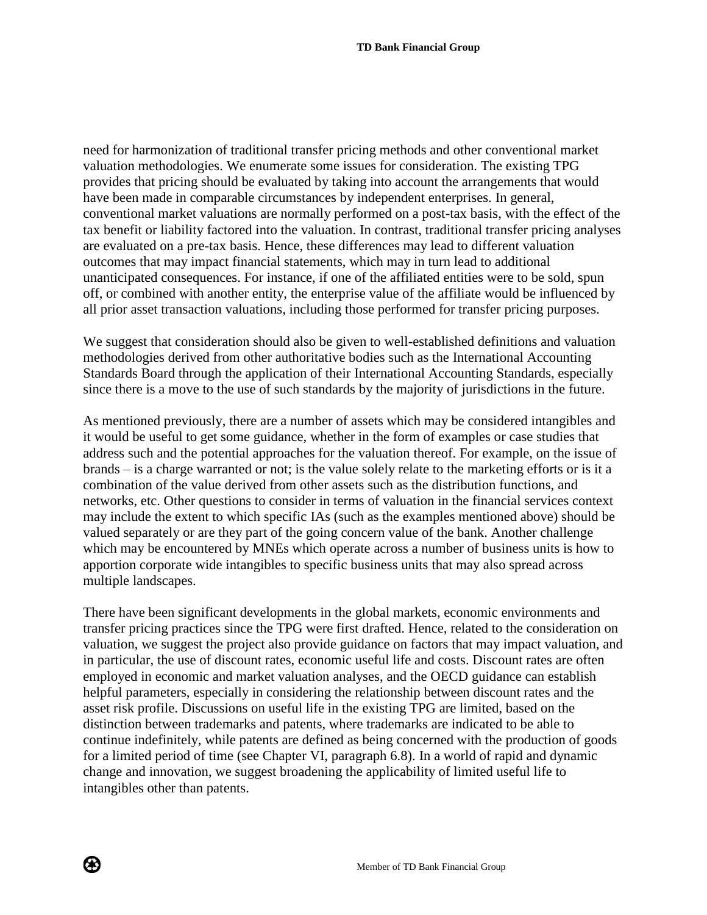need for harmonization of traditional transfer pricing methods and other conventional market valuation methodologies. We enumerate some issues for consideration. The existing TPG provides that pricing should be evaluated by taking into account the arrangements that would have been made in comparable circumstances by independent enterprises. In general, conventional market valuations are normally performed on a post-tax basis, with the effect of the tax benefit or liability factored into the valuation. In contrast, traditional transfer pricing analyses are evaluated on a pre-tax basis. Hence, these differences may lead to different valuation outcomes that may impact financial statements, which may in turn lead to additional unanticipated consequences. For instance, if one of the affiliated entities were to be sold, spun off, or combined with another entity, the enterprise value of the affiliate would be influenced by all prior asset transaction valuations, including those performed for transfer pricing purposes.

We suggest that consideration should also be given to well-established definitions and valuation methodologies derived from other authoritative bodies such as the International Accounting Standards Board through the application of their International Accounting Standards, especially since there is a move to the use of such standards by the majority of jurisdictions in the future.

As mentioned previously, there are a number of assets which may be considered intangibles and it would be useful to get some guidance, whether in the form of examples or case studies that address such and the potential approaches for the valuation thereof. For example, on the issue of brands – is a charge warranted or not; is the value solely relate to the marketing efforts or is it a combination of the value derived from other assets such as the distribution functions, and networks, etc. Other questions to consider in terms of valuation in the financial services context may include the extent to which specific IAs (such as the examples mentioned above) should be valued separately or are they part of the going concern value of the bank. Another challenge which may be encountered by MNEs which operate across a number of business units is how to apportion corporate wide intangibles to specific business units that may also spread across multiple landscapes.

There have been significant developments in the global markets, economic environments and transfer pricing practices since the TPG were first drafted. Hence, related to the consideration on valuation, we suggest the project also provide guidance on factors that may impact valuation, and in particular, the use of discount rates, economic useful life and costs. Discount rates are often employed in economic and market valuation analyses, and the OECD guidance can establish helpful parameters, especially in considering the relationship between discount rates and the asset risk profile. Discussions on useful life in the existing TPG are limited, based on the distinction between trademarks and patents, where trademarks are indicated to be able to continue indefinitely, while patents are defined as being concerned with the production of goods for a limited period of time (see Chapter VI, paragraph 6.8). In a world of rapid and dynamic change and innovation, we suggest broadening the applicability of limited useful life to intangibles other than patents.

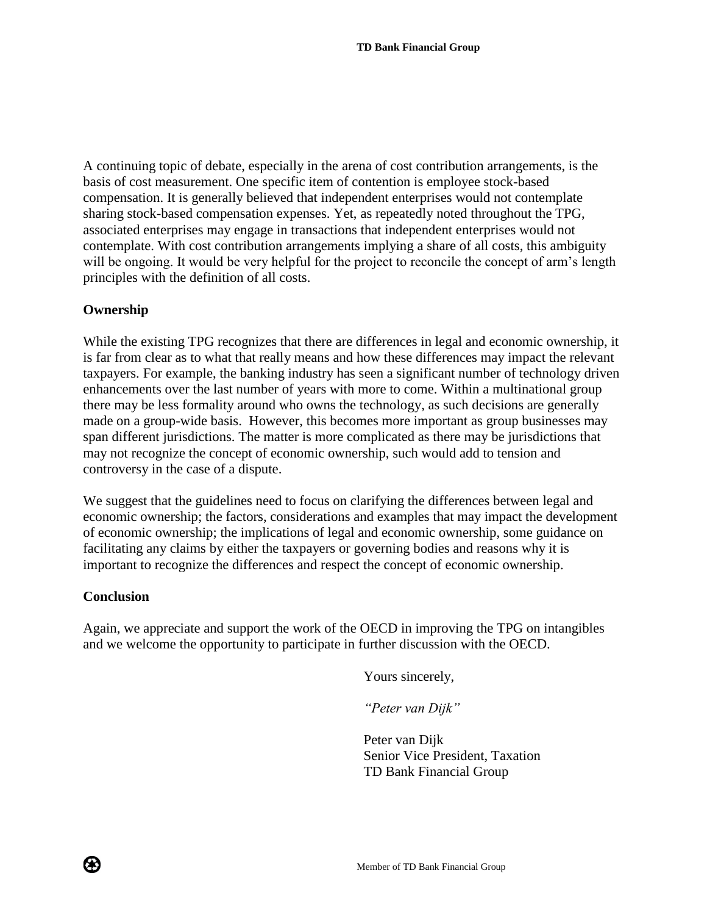A continuing topic of debate, especially in the arena of cost contribution arrangements, is the basis of cost measurement. One specific item of contention is employee stock-based compensation. It is generally believed that independent enterprises would not contemplate sharing stock-based compensation expenses. Yet, as repeatedly noted throughout the TPG, associated enterprises may engage in transactions that independent enterprises would not contemplate. With cost contribution arrangements implying a share of all costs, this ambiguity will be ongoing. It would be very helpful for the project to reconcile the concept of arm's length principles with the definition of all costs.

### **Ownership**

While the existing TPG recognizes that there are differences in legal and economic ownership, it is far from clear as to what that really means and how these differences may impact the relevant taxpayers. For example, the banking industry has seen a significant number of technology driven enhancements over the last number of years with more to come. Within a multinational group there may be less formality around who owns the technology, as such decisions are generally made on a group-wide basis. However, this becomes more important as group businesses may span different jurisdictions. The matter is more complicated as there may be jurisdictions that may not recognize the concept of economic ownership, such would add to tension and controversy in the case of a dispute.

We suggest that the guidelines need to focus on clarifying the differences between legal and economic ownership; the factors, considerations and examples that may impact the development of economic ownership; the implications of legal and economic ownership, some guidance on facilitating any claims by either the taxpayers or governing bodies and reasons why it is important to recognize the differences and respect the concept of economic ownership.

### **Conclusion**

⊛

Again, we appreciate and support the work of the OECD in improving the TPG on intangibles and we welcome the opportunity to participate in further discussion with the OECD.

Yours sincerely,

*"Peter van Dijk"*

Peter van Dijk Senior Vice President, Taxation TD Bank Financial Group